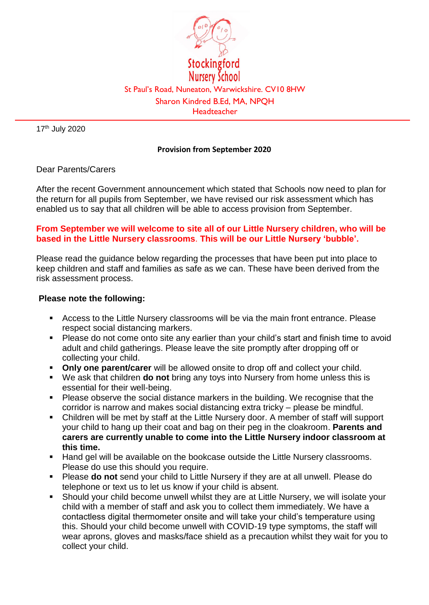

17th July 2020

## **Provision from September 2020**

## Dear Parents/Carers

After the recent Government announcement which stated that Schools now need to plan for the return for all pupils from September, we have revised our risk assessment which has enabled us to say that all children will be able to access provision from September.

## **From September we will welcome to site all of our Little Nursery children, who will be based in the Little Nursery classrooms**. **This will be our Little Nursery 'bubble'.**

Please read the guidance below regarding the processes that have been put into place to keep children and staff and families as safe as we can. These have been derived from the risk assessment process.

## **Please note the following:**

- Access to the Little Nursery classrooms will be via the main front entrance. Please respect social distancing markers.
- **Please do not come onto site any earlier than your child's start and finish time to avoid** adult and child gatherings. Please leave the site promptly after dropping off or collecting your child.
- **Only one parent/carer** will be allowed onsite to drop off and collect your child.
- We ask that children **do not** bring any toys into Nursery from home unless this is essential for their well-being.
- **Please observe the social distance markers in the building. We recognise that the** corridor is narrow and makes social distancing extra tricky – please be mindful.
- Children will be met by staff at the Little Nursery door. A member of staff will support your child to hang up their coat and bag on their peg in the cloakroom. **Parents and carers are currently unable to come into the Little Nursery indoor classroom at this time.**
- **Hand gel will be available on the bookcase outside the Little Nursery classrooms.** Please do use this should you require.
- Please **do not** send your child to Little Nursery if they are at all unwell. Please do telephone or text us to let us know if your child is absent.
- Should your child become unwell whilst they are at Little Nursery, we will isolate your child with a member of staff and ask you to collect them immediately. We have a contactless digital thermometer onsite and will take your child's temperature using this. Should your child become unwell with COVID-19 type symptoms, the staff will wear aprons, gloves and masks/face shield as a precaution whilst they wait for you to collect your child.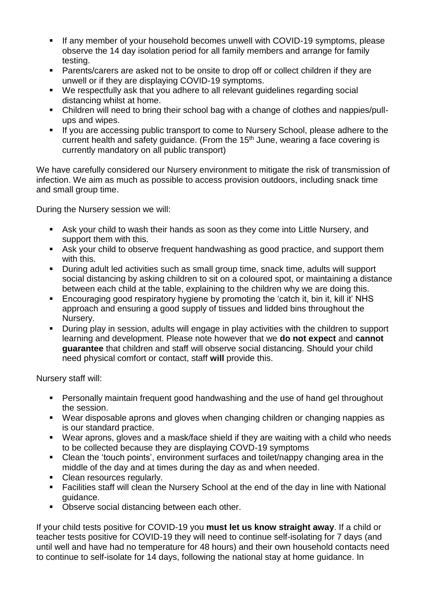- If any member of your household becomes unwell with COVID-19 symptoms, please observe the 14 day isolation period for all family members and arrange for family testing.
- Parents/carers are asked not to be onsite to drop off or collect children if they are unwell or if they are displaying COVID-19 symptoms.
- We respectfully ask that you adhere to all relevant guidelines regarding social distancing whilst at home.
- Children will need to bring their school bag with a change of clothes and nappies/pullups and wipes.
- If you are accessing public transport to come to Nursery School, please adhere to the current health and safety quidance. (From the  $15<sup>th</sup>$  June, wearing a face covering is currently mandatory on all public transport)

We have carefully considered our Nursery environment to mitigate the risk of transmission of infection. We aim as much as possible to access provision outdoors, including snack time and small group time.

During the Nursery session we will:

- Ask your child to wash their hands as soon as they come into Little Nursery, and support them with this.
- Ask your child to observe frequent handwashing as good practice, and support them with this.
- During adult led activities such as small group time, snack time, adults will support social distancing by asking children to sit on a coloured spot, or maintaining a distance between each child at the table, explaining to the children why we are doing this.
- Encouraging good respiratory hygiene by promoting the 'catch it, bin it, kill it' NHS approach and ensuring a good supply of tissues and lidded bins throughout the Nursery.
- During play in session, adults will engage in play activities with the children to support learning and development. Please note however that we **do not expect** and **cannot guarantee** that children and staff will observe social distancing. Should your child need physical comfort or contact, staff **will** provide this.

Nursery staff will:

- Personally maintain frequent good handwashing and the use of hand gel throughout the session.
- Wear disposable aprons and gloves when changing children or changing nappies as is our standard practice.
- Wear aprons, gloves and a mask/face shield if they are waiting with a child who needs to be collected because they are displaying COVD-19 symptoms
- Clean the 'touch points', environment surfaces and toilet/nappy changing area in the middle of the day and at times during the day as and when needed.
- Clean resources regularly.
- Facilities staff will clean the Nursery School at the end of the day in line with National guidance.
- **D**bserve social distancing between each other.

If your child tests positive for COVID-19 you **must let us know straight away**. If a child or teacher tests positive for COVID-19 they will need to continue self-isolating for 7 days (and until well and have had no temperature for 48 hours) and their own household contacts need to continue to self-isolate for 14 days, following the national stay at home guidance. In